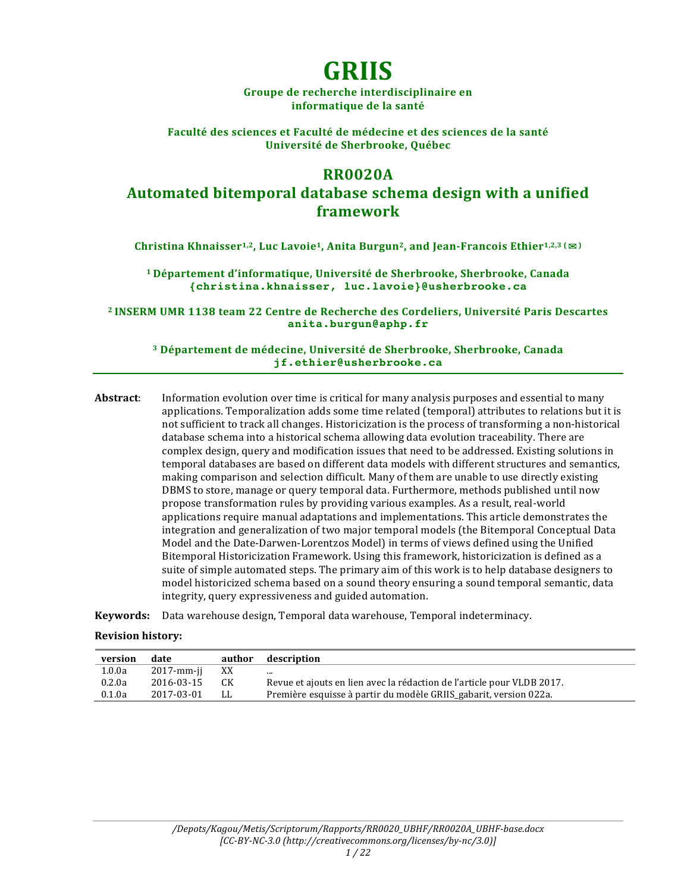# **GRIIS**

Groupe de recherche interdisciplinaire en **informatique de la santé**

Faculté des sciences et Faculté de médecine et des sciences de la santé **Université de Sherbrooke, Québec**

## **RR0020A**

**Automated bitemporal database schema design with a unified framework**

**Christina Khnaisser<sup>1,2</sup>, Luc Lavoie<sup>1</sup>, Anita Burgun<sup>2</sup>, and Jean-Francois Ethier<sup>1,2,3</sup> (** $\Xi$ **)** 

**1 Département d'informatique, Université de Sherbrooke, Sherbrooke, Canada {christina.khnaisser, luc.lavoie}@usherbrooke.ca**

<sup>2</sup> INSERM UMR 1138 team 22 Centre de Recherche des Cordeliers, Université Paris Descartes **anita.burgun@aphp.fr**

**<sup>3</sup> Département de médecine, Université de Sherbrooke, Sherbrooke, Canada jf.ethier@usherbrooke.ca**

**Abstract:** Information evolution over time is critical for many analysis purposes and essential to many applications. Temporalization adds some time related (temporal) attributes to relations but it is not sufficient to track all changes. Historicization is the process of transforming a non-historical database schema into a historical schema allowing data evolution traceability. There are complex design, query and modification issues that need to be addressed. Existing solutions in temporal databases are based on different data models with different structures and semantics, making comparison and selection difficult. Many of them are unable to use directly existing DBMS to store, manage or query temporal data. Furthermore, methods published until now propose transformation rules by providing various examples. As a result, real-world applications require manual adaptations and implementations. This article demonstrates the integration and generalization of two major temporal models (the Bitemporal Conceptual Data Model and the Date-Darwen-Lorentzos Model) in terms of views defined using the Unified Bitemporal Historicization Framework. Using this framework, historicization is defined as a suite of simple automated steps. The primary aim of this work is to help database designers to model historicized schema based on a sound theory ensuring a sound temporal semantic, data integrity, query expressiveness and guided automation.

**Keywords:** Data warehouse design, Temporal data warehouse, Temporal indeterminacy.

#### **Revision history:**

| version | date       | author | description                                                            |
|---------|------------|--------|------------------------------------------------------------------------|
| 1.0.0a  | 2017-mm-ji | XX     | $\cdots$                                                               |
| 0.2.0a  | 2016-03-15 | CК     | Revue et ajouts en lien avec la rédaction de l'article pour VLDB 2017. |
| 0.1.0a  | 2017-03-01 | LL.    | Première esquisse à partir du modèle GRIIS_gabarit, version 022a.      |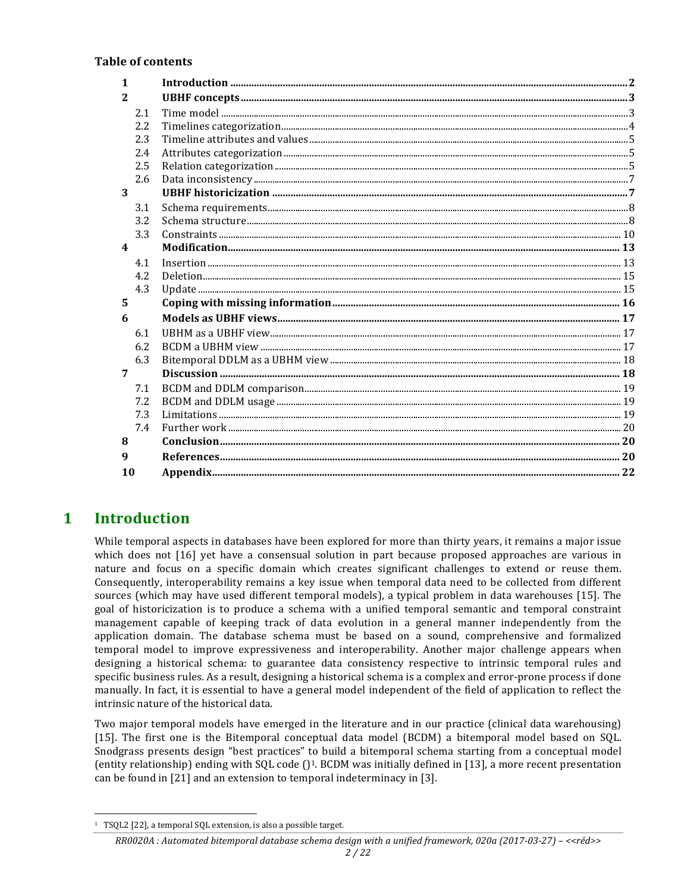#### **Table of contents**

| $\mathbf{1}$            |     |  |
|-------------------------|-----|--|
| 2                       |     |  |
|                         | 2.1 |  |
|                         | 2.2 |  |
|                         | 2.3 |  |
|                         | 2.4 |  |
|                         | 2.5 |  |
|                         | 2.6 |  |
| 3                       |     |  |
|                         | 3.1 |  |
|                         | 3.2 |  |
|                         | 3.3 |  |
| $\overline{\mathbf{4}}$ |     |  |
|                         | 4.1 |  |
|                         | 4.2 |  |
|                         | 4.3 |  |
| 5                       |     |  |
| 6                       |     |  |
|                         | 6.1 |  |
|                         | 6.2 |  |
|                         | 6.3 |  |
| 7                       |     |  |
|                         | 7.1 |  |
|                         | 7.2 |  |
|                         | 7.3 |  |
|                         | 7.4 |  |
| 8                       |     |  |
| 9                       |     |  |
| 10                      |     |  |
|                         |     |  |

## **1 Introduction**

While temporal aspects in databases have been explored for more than thirty years, it remains a major issue which does not  $[16]$  yet have a consensual solution in part because proposed approaches are various in nature and focus on a specific domain which creates significant challenges to extend or reuse them. Consequently, interoperability remains a key issue when temporal data need to be collected from different sources (which may have used different temporal models), a typical problem in data warehouses [15]. The goal of historicization is to produce a schema with a unified temporal semantic and temporal constraint management capable of keeping track of data evolution in a general manner independently from the application domain. The database schema must be based on a sound, comprehensive and formalized temporal model to improve expressiveness and interoperability. Another major challenge appears when designing a historical schema: to guarantee data consistency respective to intrinsic temporal rules and specific business rules. As a result, designing a historical schema is a complex and error-prone process if done manually. In fact, it is essential to have a general model independent of the field of application to reflect the intrinsic nature of the historical data.

Two major temporal models have emerged in the literature and in our practice (clinical data warehousing) [15]. The first one is the Bitemporal conceptual data model (BCDM) a bitemporal model based on SQL. Snodgrass presents design "best practices" to build a bitemporal schema starting from a conceptual model (entity relationship) ending with SQL code  $(1)$ <sup>1</sup>. BCDM was initially defined in [13], a more recent presentation can be found in [21] and an extension to temporal indeterminacy in [3].

 

## *RR0020A : Automated bitemporal database schema design with a unified framework, 020a (2017-03-27) – <<réd>>*

<sup>&</sup>lt;sup>1</sup> TSQL2 [22], a temporal SQL extension, is also a possible target.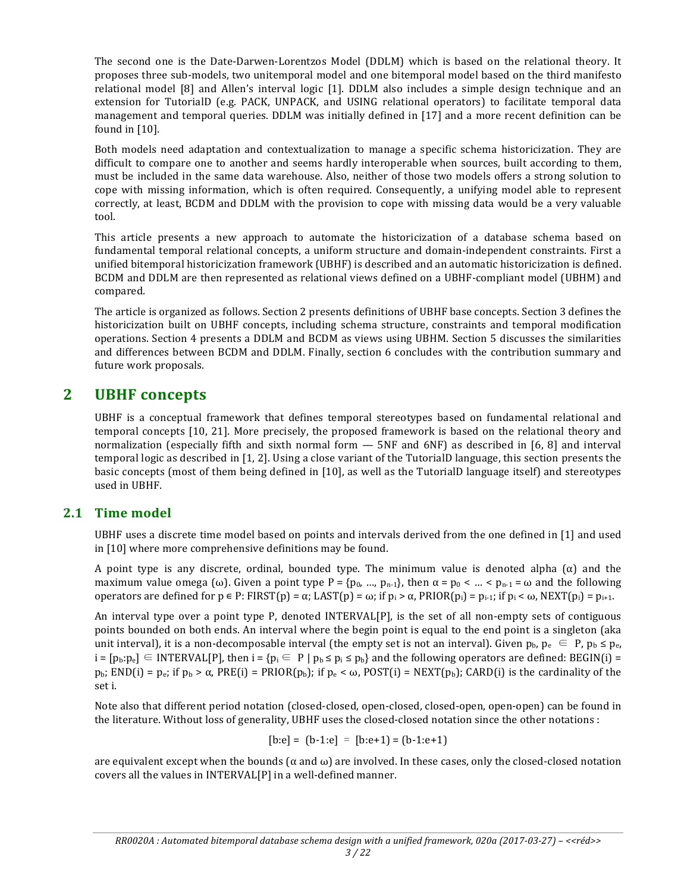The second one is the Date-Darwen-Lorentzos Model (DDLM) which is based on the relational theory. It proposes three sub-models, two unitemporal model and one bitemporal model based on the third manifesto relational model  $[8]$  and Allen's interval logic  $[1]$ . DDLM also includes a simple design technique and an extension for TutorialD (e.g. PACK, UNPACK, and USING relational operators) to facilitate temporal data management and temporal queries. DDLM was initially defined in [17] and a more recent definition can be found in  $[10]$ .

Both models need adaptation and contextualization to manage a specific schema historicization. They are difficult to compare one to another and seems hardly interoperable when sources, built according to them, must be included in the same data warehouse. Also, neither of those two models offers a strong solution to cope with missing information, which is often required. Consequently, a unifying model able to represent correctly, at least, BCDM and DDLM with the provision to cope with missing data would be a very valuable tool.

This article presents a new approach to automate the historicization of a database schema based on fundamental temporal relational concepts, a uniform structure and domain-independent constraints. First a unified bitemporal historicization framework (UBHF) is described and an automatic historicization is defined. BCDM and DDLM are then represented as relational views defined on a UBHF-compliant model (UBHM) and compared.

The article is organized as follows. Section 2 presents definitions of UBHF base concepts. Section 3 defines the historicization built on UBHF concepts, including schema structure, constraints and temporal modification operations. Section 4 presents a DDLM and BCDM as views using UBHM. Section 5 discusses the similarities and differences between BCDM and DDLM. Finally, section 6 concludes with the contribution summary and future work proposals.

## **2 UBHF concepts**

UBHF is a conceptual framework that defines temporal stereotypes based on fundamental relational and temporal concepts [10, 21]. More precisely, the proposed framework is based on the relational theory and normalization (especially fifth and sixth normal form  $-$  5NF and 6NF) as described in [6, 8] and interval temporal logic as described in [1, 2]. Using a close variant of the TutorialD language, this section presents the basic concepts (most of them being defined in [10], as well as the TutorialD language itself) and stereotypes used in UBHF.

## **2.1 Time model**

UBHF uses a discrete time model based on points and intervals derived from the one defined in [1] and used in [10] where more comprehensive definitions may be found.

A point type is any discrete, ordinal, bounded type. The minimum value is denoted alpha  $(\alpha)$  and the maximum value omega (ω). Given a point type  $P = \{p_0, ..., p_{n-1}\}\$ , then  $\alpha = p_0 < ... < p_{n-1} = \omega$  and the following operators are defined for p ∈ P: FIRST(p) = α; LAST(p) = ω; if  $p_i > α$ , PRIOR( $p_i$ ) =  $p_{i-1}$ ; if  $p_i < ω$ , NEXT( $p_i$ ) =  $p_{i+1}$ .

An interval type over a point type P, denoted INTERVAL $[P]$ , is the set of all non-empty sets of contiguous points bounded on both ends. An interval where the begin point is equal to the end point is a singleton (aka unit interval), it is a non-decomposable interval (the empty set is not an interval). Given  $p_b$ ,  $p_e \in P$ ,  $p_b \le p_e$ ,  $i = [p_b: p_e] \subseteq \text{INTERVAL}[P]$ , then  $i = \{p_i \in P \mid p_b \leq p_i \leq p_b\}$  and the following operators are defined: BEGIN(i) =  $p_{\rm b}$ ; END(i) =  $p_{\rm e}$ ; if  $p_{\rm b} > \alpha$ , PRE(i) = PRIOR( $p_{\rm b}$ ); if  $p_{\rm e} < \omega$ , POST(i) = NEXT( $p_{\rm b}$ ); CARD(i) is the cardinality of the set i.

Note also that different period notation (closed-closed, open-closed, closed-open, open-open) can be found in the literature. Without loss of generality, UBHF uses the closed-closed notation since the other notations :

$$
[b:e] = [b-1:e] = [b:e+1] = (b-1:e+1)
$$

are equivalent except when the bounds  $(\alpha$  and  $\omega)$  are involved. In these cases, only the closed-closed notation covers all the values in INTERVAL[P] in a well-defined manner.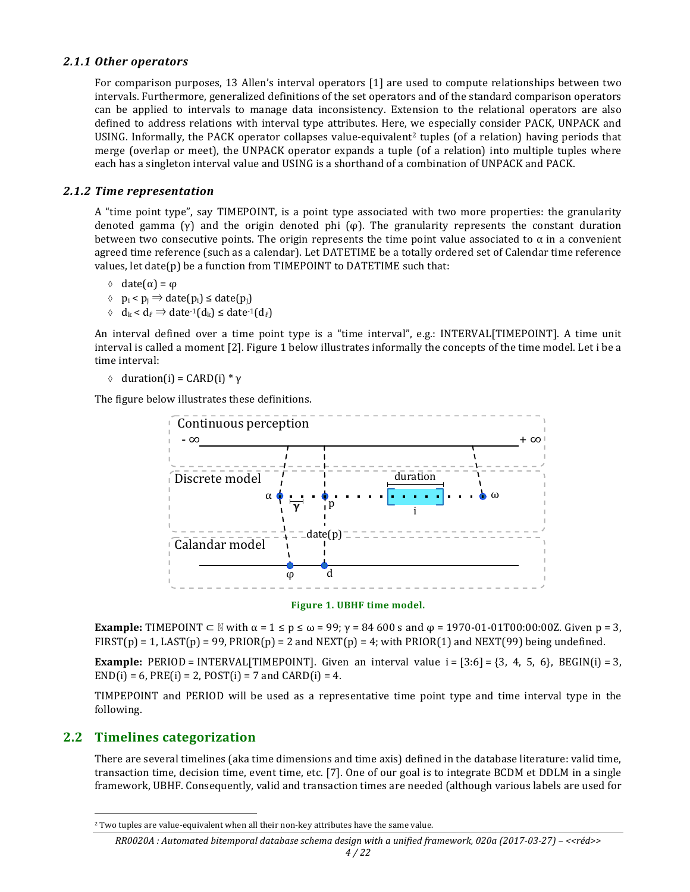#### *2.1.1 Other operators*

For comparison purposes, 13 Allen's interval operators [1] are used to compute relationships between two intervals. Furthermore, generalized definitions of the set operators and of the standard comparison operators can be applied to intervals to manage data inconsistency. Extension to the relational operators are also defined to address relations with interval type attributes. Here, we especially consider PACK, UNPACK and USING. Informally, the PACK operator collapses value-equivalent<sup>2</sup> tuples (of a relation) having periods that merge (overlap or meet), the UNPACK operator expands a tuple (of a relation) into multiple tuples where each has a singleton interval value and USING is a shorthand of a combination of UNPACK and PACK.

#### *2.1.2 Time representation*

A "time point type", say TIMEPOINT, is a point type associated with two more properties: the granularity denoted gamma  $(y)$  and the origin denoted phi  $(\varphi)$ . The granularity represents the constant duration between two consecutive points. The origin represents the time point value associated to  $\alpha$  in a convenient agreed time reference (such as a calendar). Let DATETIME be a totally ordered set of Calendar time reference values, let  $date(p)$  be a function from TIMEPOINT to DATETIME such that:

 $\circ$  date(α) =  $\phi$ 

- à pi < pj ⇒ date(pi) ≤ date(pj)
- $\Diamond$  d<sub>k</sub> < d<sub>e</sub>  $\Rightarrow$  date<sup>-1</sup>(d<sub>k</sub>) ≤ date<sup>-1</sup>(d<sub>e</sub>)

An interval defined over a time point type is a "time interval", e.g.: INTERVAL[TIMEPOINT]. A time unit interval is called a moment [2]. Figure 1 below illustrates informally the concepts of the time model. Let i be a time interval:

 $\circ$  duration(i) = CARD(i) \* γ

The figure below illustrates these definitions.



#### Figure 1. UBHF time model.

**Example:** TIMEPOINT  $\subset \mathbb{N}$  with  $\alpha = 1 \le p \le \omega = 99$ ;  $\gamma = 84\,600$  s and  $\varphi = 1970-01-01$  T00:00:00Z. Given  $p = 3$ ,  $FIRST(p) = 1$ ,  $LAST(p) = 99$ ,  $PRIOR(p) = 2$  and  $NEXT(p) = 4$ ; with  $PRIOR(1)$  and  $NEXT(99)$  being undefined.

**Example:** PERIOD = INTERVAL[TIMEPOINT]. Given an interval value  $i = [3:6] = \{3, 4, 5, 6\}$ , BEGIN(i) = 3,  $END(i) = 6, PRE(i) = 2, POST(i) = 7$  and  $CARD(i) = 4$ .

TIMPEPOINT and PERIOD will be used as a representative time point type and time interval type in the following.

### **2.2 Timelines categorization**

 

There are several timelines (aka time dimensions and time axis) defined in the database literature: valid time, transaction time, decision time, event time, etc. [7]. One of our goal is to integrate BCDM et DDLM in a single framework, UBHF. Consequently, valid and transaction times are needed (although various labels are used for

#### *RR0020A : Automated bitemporal database schema design with a unified framework, 020a (2017-03-27) – <<réd>>*

<sup>&</sup>lt;sup>2</sup> Two tuples are value-equivalent when all their non-key attributes have the same value.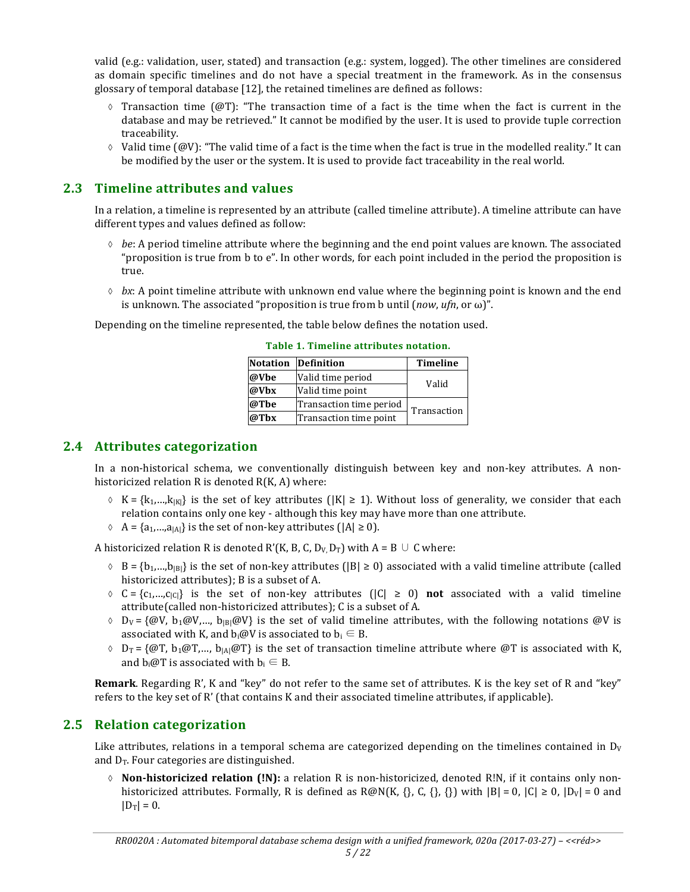valid (e.g.: validation, user, stated) and transaction (e.g.: system, logged). The other timelines are considered as domain specific timelines and do not have a special treatment in the framework. As in the consensus glossary of temporal database [12], the retained timelines are defined as follows:

- $\Diamond$  Transaction time (@T): "The transaction time of a fact is the time when the fact is current in the database and may be retrieved." It cannot be modified by the user. It is used to provide tuple correction traceability.
- $\Diamond$  Valid time (@V): "The valid time of a fact is the time when the fact is true in the modelled reality." It can be modified by the user or the system. It is used to provide fact traceability in the real world.

## **2.3 Timeline attributes and values**

In a relation, a timeline is represented by an attribute (called timeline attribute). A timeline attribute can have different types and values defined as follow:

- $\Diamond$  *be*: A period timeline attribute where the beginning and the end point values are known. The associated "proposition is true from  $b$  to  $e$ ". In other words, for each point included in the period the proposition is true.
- $\Diamond$  *bx*: A point timeline attribute with unknown end value where the beginning point is known and the end is unknown. The associated "proposition is true from b until  $(now, ufn, or ω)$ ".

Depending on the timeline represented, the table below defines the notation used.

|      | Notation Definition     | <b>Timeline</b> |  |
|------|-------------------------|-----------------|--|
| @Vbe | Valid time period       | Valid           |  |
| @Vbx | Valid time point        |                 |  |
| @Tbe | Transaction time period | Transaction     |  |
| @Tbx | Transaction time point  |                 |  |

**Table 1. Timeline attributes notation.**

### **2.4 Attributes categorization**

In a non-historical schema, we conventionally distinguish between key and non-key attributes. A nonhistoricized relation  $R$  is denoted  $R(K, A)$  where:

- $\delta$  K = {k<sub>1</sub>,...,k<sub>|K|</sub>} is the set of key attributes (|K|  $\geq$  1). Without loss of generality, we consider that each relation contains only one key - although this key may have more than one attribute.
- $\Diamond$  A = {a<sub>1</sub>,...,a<sub>|A|</sub>} is the set of non-key attributes (|A| ≥ 0).

A historicized relation R is denoted R'(K, B, C, D<sub>V,</sub> D<sub>T</sub>) with A = B ∪ C where:

- $\delta$  B = {b<sub>1</sub>,...,b<sub>|B</sub>} is the set of non-key attributes (|B| ≥ 0) associated with a valid timeline attribute (called historicized attributes); B is a subset of A.
- $\Diamond$  C = {c<sub>1</sub>,...,c<sub>lCl</sub>} is the set of non-key attributes (|C|  $\ge$  0) **not** associated with a valid timeline attribute(called non-historicized attributes); C is a subset of A.
- $\Diamond$  D<sub>V</sub> = {@V, b<sub>1</sub>@V,..., b<sub>IBI</sub>@V} is the set of valid timeline attributes, with the following notations @V is associated with K, and  $b_i@V$  is associated to  $b_i \in B$ .
- $\delta$  D<sub>T</sub> = {@T, b<sub>1</sub>@T,..., b<sub>1A</sub>|@T} is the set of transaction timeline attribute where @T is associated with K, and  $b_i@T$  is associated with  $b_i \in B$ .

**Remark**. Regarding R', K and "key" do not refer to the same set of attributes. K is the key set of R and "key" refers to the key set of R' (that contains K and their associated timeline attributes, if applicable).

## **2.5 Relation categorization**

Like attributes, relations in a temporal schema are categorized depending on the timelines contained in  $D_V$ and  $D_T$ . Four categories are distinguished.

 $\lozenge$  **Non-historicized relation (!N):** a relation R is non-historicized, denoted R!N, if it contains only nonhistoricized attributes. Formally, R is defined as  $R@N(K, \{}, \{), \{, \}, \{\}\}\$  with  $|B| = 0$ ,  $|C| \ge 0$ ,  $|D_V| = 0$  and  $|D_T| = 0.$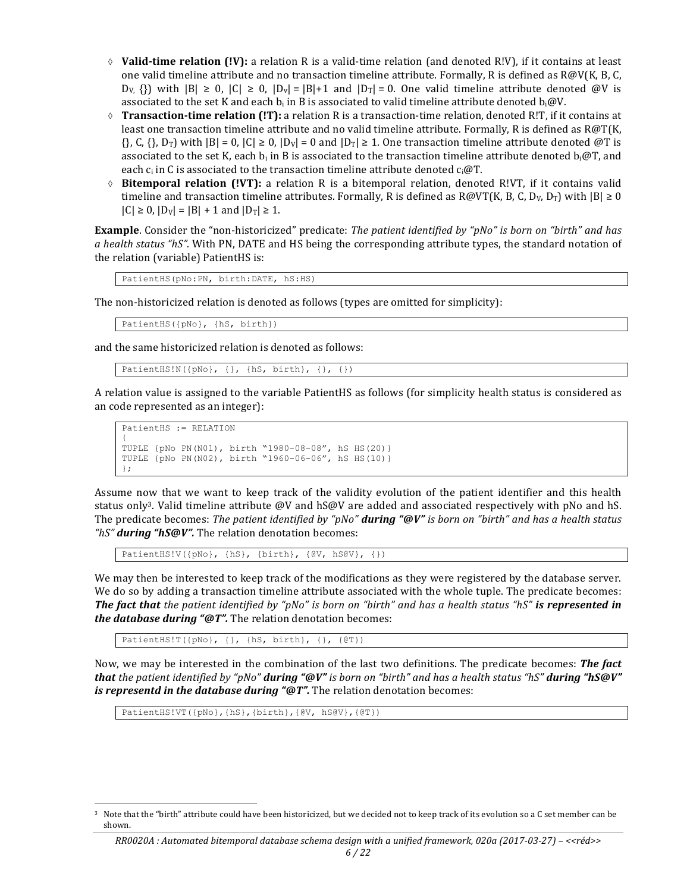- $\Diamond$  **Valid-time relation (!V):** a relation R is a valid-time relation (and denoted R!V), if it contains at least one valid timeline attribute and no transaction timeline attribute. Formally, R is defined as  $R@V(K, B, C, T)$  $D_V$ ,  $\{\}\$ ) with  $|B| \ge 0$ ,  $|C| \ge 0$ ,  $|D_v| = |B| + 1$  and  $|D_T| = 0$ . One valid timeline attribute denoted @V is associated to the set K and each  $b_i$  in B is associated to valid timeline attribute denoted  $b_i$ @V.
- $\Diamond$  **Transaction-time relation (!T):** a relation R is a transaction-time relation, denoted R!T, if it contains at least one transaction timeline attribute and no valid timeline attribute. Formally, R is defined as R@T(K,  $\{\}, C, \{\}, D_T\}$  with  $|B| = 0$ ,  $|C| \ge 0$ ,  $|D_V| = 0$  and  $|D_T| \ge 1$ . One transaction timeline attribute denoted  $\emptyset T$  is associated to the set K, each  $b_i$  in B is associated to the transaction timeline attribute denoted  $b_i@T$ , and each  $c_i$  in C is associated to the transaction timeline attribute denoted  $c_i@T$ .
- $\Diamond$  **Bitemporal relation (!VT):** a relation R is a bitemporal relation, denoted R!VT, if it contains valid timeline and transaction timeline attributes. Formally, R is defined as  $R@VT(K, B, C, D_V, D_T)$  with  $|B| \ge 0$  $|C| \ge 0$ ,  $|D_V| = |B| + 1$  and  $|D_T| \ge 1$ .

**Example**. Consider the "non-historicized" predicate: *The patient identified by* "pNo" is born on "birth" and has *a* health status "hS". With PN, DATE and HS being the corresponding attribute types, the standard notation of the relation (variable) PatientHS is:

```
PatientHS(pNo:PN, birth:DATE, hS:HS)
```
The non-historicized relation is denoted as follows (types are omitted for simplicity):

PatientHS({pNo}, {hS, birth})

and the same historicized relation is denoted as follows:

```
PatientHS!N({pNo}, {}, {hS, birth}, {}, {})
```
A relation value is assigned to the variable PatientHS as follows (for simplicity health status is considered as an code represented as an integer):

```
PatientHS := RELATION 
{
TUPLE {pNo PN(N01), birth "1980-08-08", hS HS(20)}
TUPLE {pNo PN(N02), birth "1960-06-06", hS HS(10)}
};
```
Assume now that we want to keep track of the validity evolution of the patient identifier and this health status only<sup>3</sup>. Valid timeline attribute  $\omega$ V and hS $\omega$  are added and associated respectively with pNo and hS. The predicate becomes: *The patient identified by* "*pNo" during* "@V" is born on "birth" and has a health status "hS" **during "hS@V".** The relation denotation becomes:

PatientHS!V({pNo}, {hS}, {birth}, {@V, hS@V}, {})

We may then be interested to keep track of the modifications as they were registered by the database server. We do so by adding a transaction timeline attribute associated with the whole tuple. The predicate becomes: *The fact that the patient identified by "pNo"* is born on "birth" and has a health status "hS" is represented in *the database during "@T"*. The relation denotation becomes:

PatientHS!T({pNo}, {}, {hS, birth}, {}, {@T})

Now, we may be interested in the combination of the last two definitions. The predicate becomes: The fact *that* the patient identified by "pNo" **during** "@V" is born on "birth" and has a health status "hS" **during "hS@V"** *is representd in the database during* "@T". The relation denotation becomes:

PatientHS!VT({pNo},{hS},{birth},{@V, hS@V},{@T})

 

Note that the "birth" attribute could have been historicized, but we decided not to keep track of its evolution so a C set member can be shown.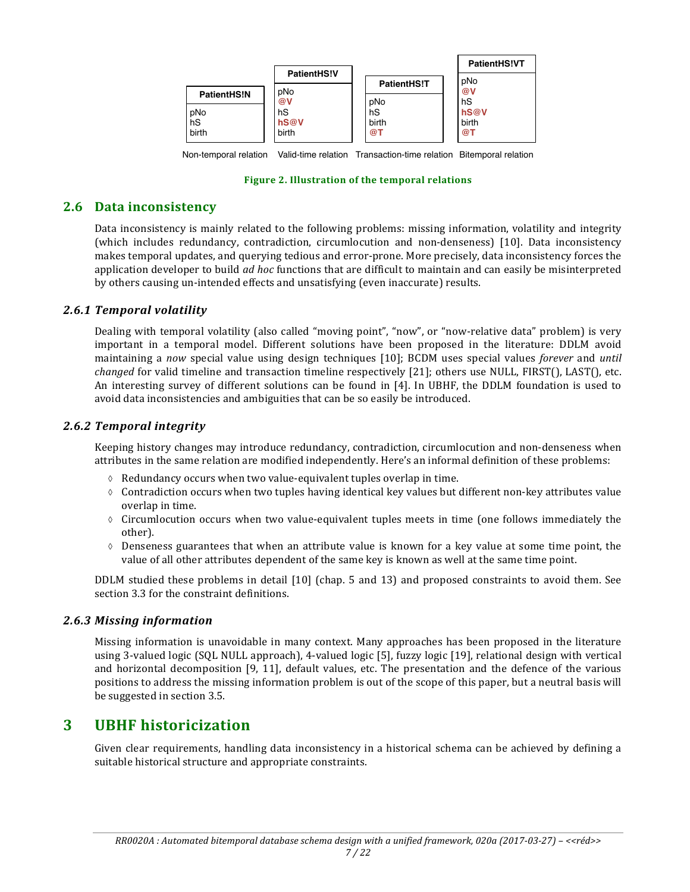|             |                    |                    | <b>PatientHS!VT</b> |
|-------------|--------------------|--------------------|---------------------|
|             | <b>PatientHS!V</b> | <b>PatientHS!T</b> | pNo                 |
| PatientHS!N | pNo<br>@V          | pNo                | @V<br>hS            |
| pNo         | hS                 | hS                 | hS@V                |
| hS<br>birth | hS@V<br>birth      | birth<br>@T        | birth<br>@T         |

Non-temporal relation Valid-time relation Transaction-time relation Bitemporal relation

#### Figure 2. Illustration of the temporal relations

## **2.6** Data inconsistency

Data inconsistency is mainly related to the following problems: missing information, volatility and integrity (which includes redundancy, contradiction, circumlocution and non-denseness) [10]. Data inconsistency makes temporal updates, and querying tedious and error-prone. More precisely, data inconsistency forces the application developer to build *ad hoc* functions that are difficult to maintain and can easily be misinterpreted by others causing un-intended effects and unsatisfying (even inaccurate) results.

### *2.6.1 Temporal volatility*

Dealing with temporal volatility (also called "moving point", "now", or "now-relative data" problem) is very important in a temporal model. Different solutions have been proposed in the literature: DDLM avoid maintaining a *now* special value using design techniques [10]; BCDM uses special values *forever* and *until changed* for valid timeline and transaction timeline respectively [21]; others use NULL, FIRST(), LAST(), etc. An interesting survey of different solutions can be found in [4]. In UBHF, the DDLM foundation is used to avoid data inconsistencies and ambiguities that can be so easily be introduced.

#### *2.6.2 Temporal integrity*

Keeping history changes may introduce redundancy, contradiction, circumlocution and non-denseness when attributes in the same relation are modified independently. Here's an informal definition of these problems:

- $\Diamond$  Redundancy occurs when two value-equivalent tuples overlap in time.
- $\Diamond$  Contradiction occurs when two tuples having identical key values but different non-key attributes value overlap in time.
- $\diamond$  Circumlocution occurs when two value-equivalent tuples meets in time (one follows immediately the other).
- $\Diamond$  Denseness guarantees that when an attribute value is known for a key value at some time point, the value of all other attributes dependent of the same key is known as well at the same time point.

DDLM studied these problems in detail [10] (chap. 5 and 13) and proposed constraints to avoid them. See section 3.3 for the constraint definitions.

#### *2.6.3 Missing information*

Missing information is unavoidable in many context. Many approaches has been proposed in the literature using 3-valued logic (SQL NULL approach), 4-valued logic [5], fuzzy logic [19], relational design with vertical and horizontal decomposition  $[9, 11]$ , default values, etc. The presentation and the defence of the various positions to address the missing information problem is out of the scope of this paper, but a neutral basis will be suggested in section 3.5.

## **3 UBHF historicization**

Given clear requirements, handling data inconsistency in a historical schema can be achieved by defining a suitable historical structure and appropriate constraints.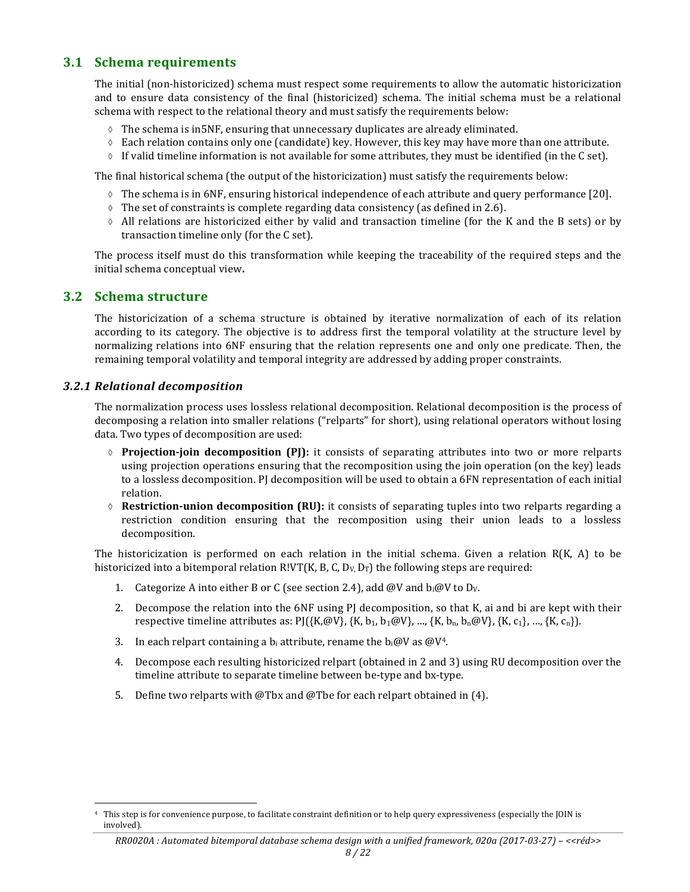## **3.1 Schema requirements**

The initial (non-historicized) schema must respect some requirements to allow the automatic historicization and to ensure data consistency of the final (historicized) schema. The initial schema must be a relational schema with respect to the relational theory and must satisfy the requirements below:

- $\Diamond$  The schema is in5NF, ensuring that unnecessary duplicates are already eliminated.
- $\Diamond$  Each relation contains only one (candidate) key. However, this key may have more than one attribute.
- $\Diamond$  If valid timeline information is not available for some attributes, they must be identified (in the C set).

The final historical schema (the output of the historicization) must satisfy the requirements below:

- $\Diamond$  The schema is in 6NF, ensuring historical independence of each attribute and query performance [20].
- $\Diamond$  The set of constraints is complete regarding data consistency (as defined in 2.6).
- $\Diamond$  All relations are historicized either by valid and transaction timeline (for the K and the B sets) or by transaction timeline only (for the C set).

The process itself must do this transformation while keeping the traceability of the required steps and the initial schema conceptual view.

#### **3.2 Schema structure**

The historicization of a schema structure is obtained by iterative normalization of each of its relation according to its category. The objective is to address first the temporal volatility at the structure level by normalizing relations into 6NF ensuring that the relation represents one and only one predicate. Then, the remaining temporal volatility and temporal integrity are addressed by adding proper constraints.

#### *3.2.1 Relational decomposition*

 

The normalization process uses lossless relational decomposition. Relational decomposition is the process of decomposing a relation into smaller relations ("relparts" for short), using relational operators without losing data. Two types of decomposition are used:

- ↑ **Projection-join decomposition (PJ):** it consists of separating attributes into two or more relparts using projection operations ensuring that the recomposition using the join operation (on the key) leads to a lossless decomposition. PJ decomposition will be used to obtain a 6FN representation of each initial relation.
- $\Diamond$  **Restriction-union decomposition (RU):** it consists of separating tuples into two relparts regarding a restriction condition ensuring that the recomposition using their union leads to a lossless decomposition.

The historicization is performed on each relation in the initial schema. Given a relation  $R(K, A)$  to be historicized into a bitemporal relation R!VT(K, B, C,  $D_v$ ,  $D_T$ ) the following steps are required:

- 1. Categorize A into either B or C (see section 2.4), add @V and  $b_i@V$  to  $D_v$ .
- 2. Decompose the relation into the  $6NF$  using PJ decomposition, so that K, ai and bi are kept with their respective timeline attributes as:  $P[\{K, \omega V\}, \{K, b_1, b_1 \omega V\}, \ldots, \{K, b_n, b_n \omega V\}, \{K, c_1\}, \ldots, \{K, c_n\}].$
- 3. In each relpart containing a b<sub>i</sub> attribute, rename the  $b_i@V$  as  $@V^4$ .
- 4. Decompose each resulting historicized relpart (obtained in 2 and 3) using RU decomposition over the timeline attribute to separate timeline between be-type and bx-type.
- 5. Define two relparts with @Tbx and @Tbe for each relpart obtained in  $(4)$ .

This step is for convenience purpose, to facilitate constraint definition or to help query expressiveness (especially the JOIN is involved).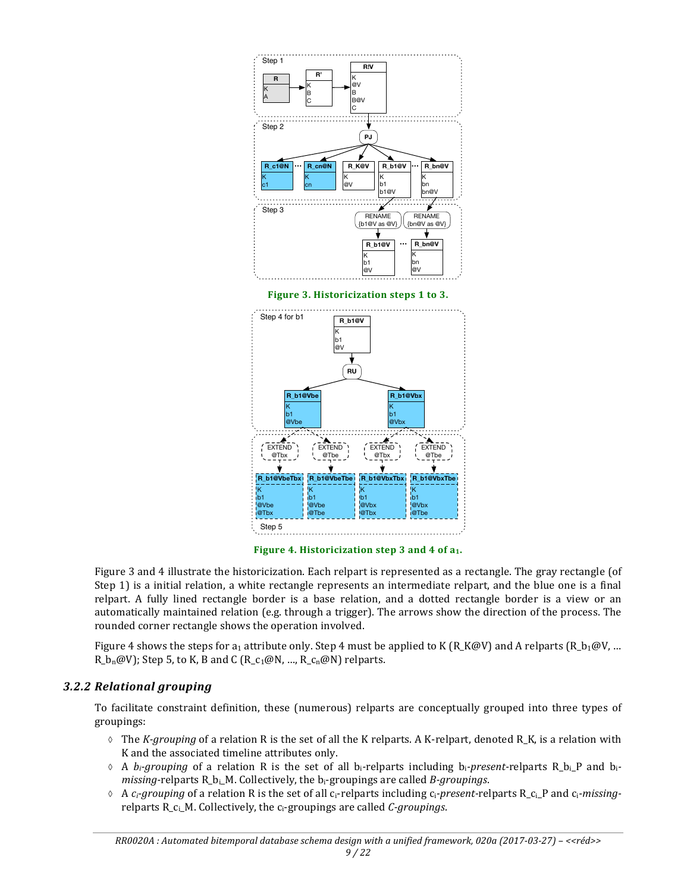

Figure 4. Historicization step 3 and 4 of a<sub>1</sub>.

Figure 3 and 4 illustrate the historicization. Each relpart is represented as a rectangle. The gray rectangle (of Step 1) is a initial relation, a white rectangle represents an intermediate relpart, and the blue one is a final relpart. A fully lined rectangle border is a base relation, and a dotted rectangle border is a view or an automatically maintained relation (e.g. through a trigger). The arrows show the direction of the process. The rounded corner rectangle shows the operation involved.

Figure 4 shows the steps for  $a_1$  attribute only. Step 4 must be applied to K (R\_K@V) and A relparts (R\_b<sub>1</sub>@V, ... R  $b_n@V$ ; Step 5, to K, B and C (R c<sub>1</sub>@N, …, R c<sub>n</sub>@N) relparts.

### *3.2.2 Relational grouping*

To facilitate constraint definition, these (numerous) relparts are conceptually grouped into three types of groupings:

- $\Diamond$  The *K-grouping* of a relation R is the set of all the K relparts. A K-relpart, denoted R<sub>\_</sub>K, is a relation with K and the associated timeline attributes only.
- $\Diamond$  A *b<sub>i</sub>-grouping* of a relation R is the set of all b<sub>i</sub>-relparts including b<sub>i</sub>-present-relparts R<sub>\_</sub>b<sub>i</sub>\_P and b<sub>i</sub>*missing-relparts* R<sub>\_bi\_</sub>M. Collectively, the b<sub>i</sub>-groupings are called *B-groupings*.
- $\lozenge$  A  $c_i$ *grouping* of a relation R is the set of all  $c_i$ -relparts including  $c_i$ -present-relparts R<sub>\_Ci\_</sub>P and  $c_i$ -missingrelparts R<sub>\_Ci\_</sub>M. Collectively, the c<sub>i</sub>-groupings are called *C-groupings*.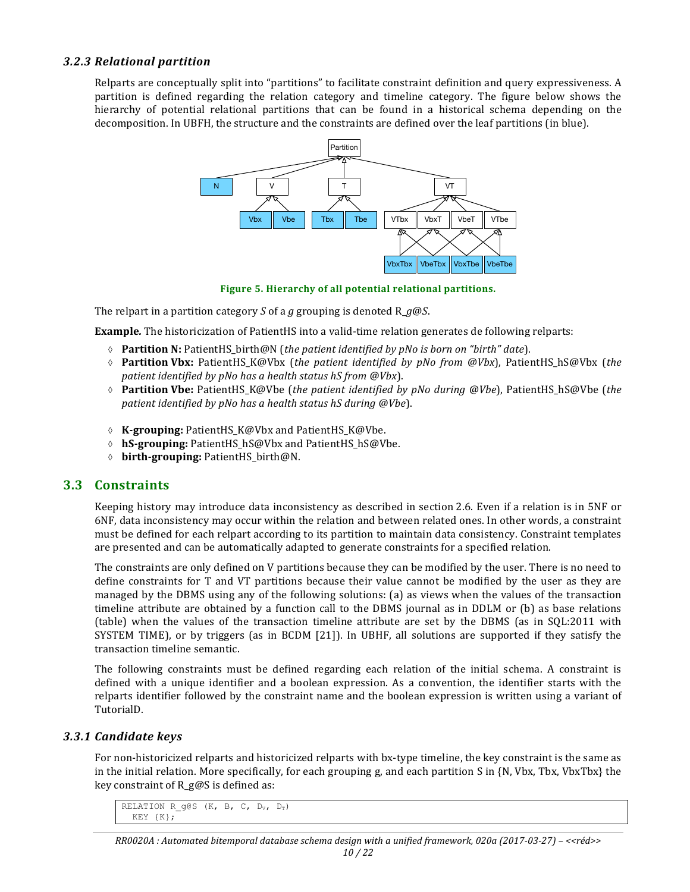#### *3.2.3 Relational partition*

Relparts are conceptually split into "partitions" to facilitate constraint definition and query expressiveness. A partition is defined regarding the relation category and timeline category. The figure below shows the hierarchy of potential relational partitions that can be found in a historical schema depending on the decomposition. In UBFH, the structure and the constraints are defined over the leaf partitions (in blue).



Figure 5. Hierarchy of all potential relational partitions.

The relpart in a partition category *S* of a *g* grouping is denoted  $R_q@S$ .

**Example**. The historicization of PatientHS into a valid-time relation generates de following relparts:

- à **Partition N:** PatientHS\_birth@N (*the patient identified by pNo is born on "birth" date*).
- $\Diamond$  **Partition Vbx:** PatientHS\_K@Vbx (the patient identified by pNo from @Vbx), PatientHS\_hS@Vbx (the *patient identified by pNo has a health status hS from @Vbx*).
- ↑ **Partition Vbe:** PatientHS\_K@Vbe (*the patient identified by pNo during @Vbe*), PatientHS\_hS@Vbe (*the patient identified by pNo has a health status hS during @Vbe*).
- à **K-grouping:** PatientHS\_K@Vbx and PatientHS\_K@Vbe.
- à **hS-grouping:** PatientHS\_hS@Vbx and PatientHS\_hS@Vbe.
- à **birth-grouping:** PatientHS\_birth@N.

### **3.3 Constraints**

Keeping history may introduce data inconsistency as described in section 2.6. Even if a relation is in 5NF or 6NF, data inconsistency may occur within the relation and between related ones. In other words, a constraint must be defined for each relpart according to its partition to maintain data consistency. Constraint templates are presented and can be automatically adapted to generate constraints for a specified relation.

The constraints are only defined on V partitions because they can be modified by the user. There is no need to define constraints for T and VT partitions because their value cannot be modified by the user as they are managed by the DBMS using any of the following solutions: (a) as views when the values of the transaction timeline attribute are obtained by a function call to the DBMS journal as in DDLM or (b) as base relations (table) when the values of the transaction timeline attribute are set by the DBMS (as in SOL:2011 with SYSTEM TIME), or by triggers (as in BCDM  $[21]$ ). In UBHF, all solutions are supported if they satisfy the transaction timeline semantic.

The following constraints must be defined regarding each relation of the initial schema. A constraint is defined with a unique identifier and a boolean expression. As a convention, the identifier starts with the relparts identifier followed by the constraint name and the boolean expression is written using a variant of TutorialD.

#### *3.3.1 Candidate keys*

For non-historicized relparts and historicized relparts with bx-type timeline, the key constraint is the same as in the initial relation. More specifically, for each grouping g, and each partition S in  $\{N, Vbx, Tbx, VbxTbx\}$  the key constraint of  $R_{g}\omega S$  is defined as:

```
RELATION R g@S (K, B, C, D_v, D_T)
  KEY {K};
```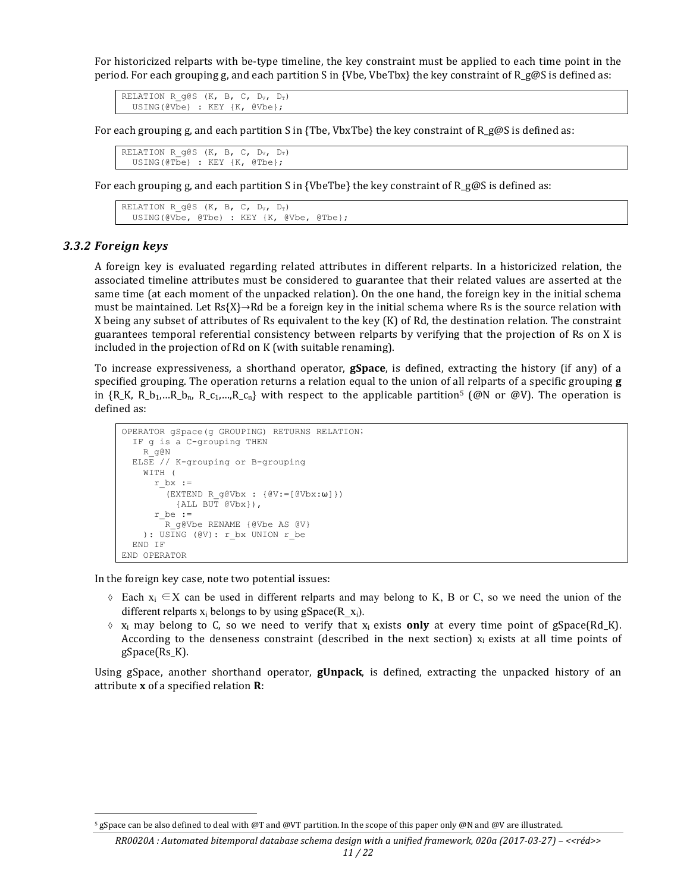For historicized relparts with be-type timeline, the key constraint must be applied to each time point in the period. For each grouping g, and each partition S in {Vbe, VbeTbx} the key constraint of R\_g@S is defined as:

RELATION R  $q$ @S (K, B, C, D<sub>V</sub>, D<sub>T</sub>) USING(@Vbe) : KEY {K, @Vbe};

For each grouping g, and each partition S in {Tbe, VbxTbe} the key constraint of R\_g@S is defined as:

RELATION R q@S (K, B, C,  $D_v$ ,  $D_v$ ) USING(@Tbe) : KEY {K, @Tbe};

For each grouping g, and each partition S in {VbeTbe} the key constraint of  $R_g@S$  is defined as:

```
RELATION R g@S (K, B, C, D<sub>V</sub>, D<sub>T</sub>)
   USING(@Vbe, @Tbe) : KEY {K, @Vbe, @Tbe};
```
#### *3.3.2 Foreign keys*

A foreign key is evaluated regarding related attributes in different relparts. In a historicized relation, the associated timeline attributes must be considered to guarantee that their related values are asserted at the same time (at each moment of the unpacked relation). On the one hand, the foreign key in the initial schema must be maintained. Let  $Rs{X} \rightarrow Rd$  be a foreign key in the initial schema where Rs is the source relation with X being any subset of attributes of Rs equivalent to the key  $(K)$  of Rd, the destination relation. The constraint guarantees temporal referential consistency between relparts by verifying that the projection of Rs on X is included in the projection of Rd on K (with suitable renaming).

To increase expressiveness, a shorthand operator, **gSpace**, is defined, extracting the history (if any) of a specified grouping. The operation returns a relation equal to the union of all relparts of a specific grouping **g** in  ${R_K, R_b_1,...R_b_n, R_c_1,..., R_c_n}$  with respect to the applicable partition<sup>5</sup> (@N or @V). The operation is defined as:

```
OPERATOR gSpace(g GROUPING) RETURNS RELATION;
  IF g is a C-grouping THEN
    R_g@N
  ELSE // K-grouping or B-grouping
    WITH (
      r bx :=(EXTEND R q@Vbx : {@V:=[@Vbx:w]} {ALL BUT @Vbx}),
      r be :=-<br>R_q@Vbe RENAME {@Vbe AS @V}
   ): USING (@V): r bx UNION r be
  END IF
END OPERATOR
```
In the foreign key case, note two potential issues:

 

- $\Diamond$  Each  $x_i \in X$  can be used in different relparts and may belong to K, B or C, so we need the union of the different relparts  $x_i$  belongs to by using gSpace(R  $x_i$ ).
- $\delta$  x<sub>i</sub> may belong to C, so we need to verify that  $x_i$  exists **only** at every time point of gSpace(Rd\_K). According to the denseness constraint (described in the next section)  $x_i$  exists at all time points of gSpace(Rs\_K).

Using gSpace, another shorthand operator, **gUnpack**, is defined, extracting the unpacked history of an attribute **x** of a specified relation **R**:

<sup>&</sup>lt;sup>5</sup> gSpace can be also defined to deal with @T and @VT partition. In the scope of this paper only @N and @V are illustrated.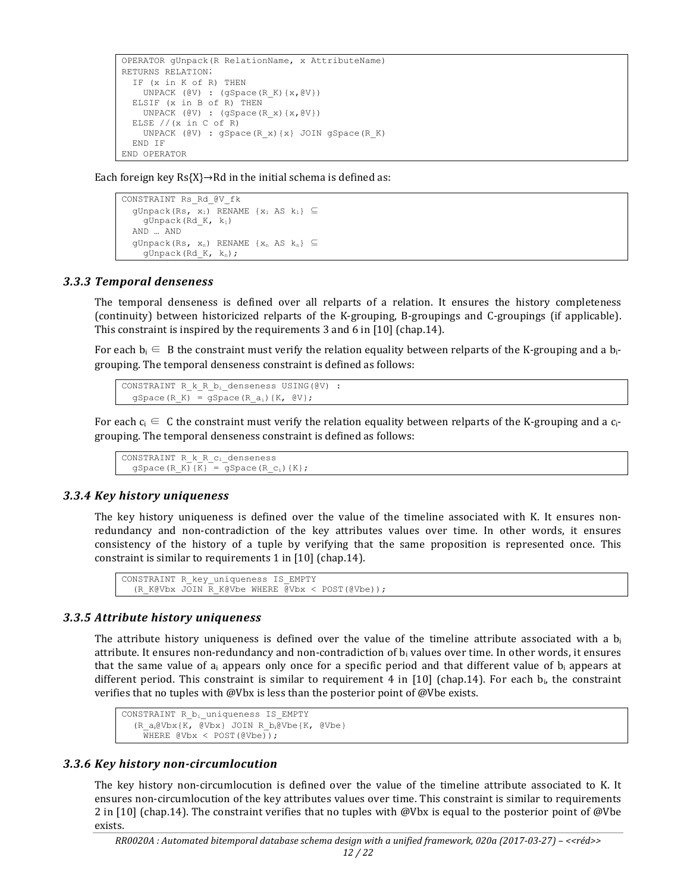```
OPERATOR gUnpack(R RelationName, x AttributeName)
RETURNS RELATION;
   IF (x in K of R) THEN
    UNPACK (\mathbb{C}V) : (gSpace(R K) \{x, \mathbb{C}V\}) ELSIF (x in B of R) THEN
    UNPACK (\mathbb{C}V) : (gSpace(R x) \{x, \mathbb{C}V\})ELSE // (x in C of R)
     UNPACK (@V) : gSpace(R_x){x} JOIN gSpace(R_K)
   END IF
END OPERATOR
```
Each foreign key  $Rs{X}$   $\rightarrow$  Rd in the initial schema is defined as:

```
CONSTRAINT Rs_Rd_@V_fk
  gUnpack(Rs, x_1) RENAME \{x_1 \text{ AS } k_1\} \subseteq gUnpack(Rd_K, k1)
   AND … AND
  gUnpack(Rs, x_n) RENAME {x_n AS k_n} \subseteqqUnpack(Rd K, k<sub>n</sub>);
```
#### *3.3.3 Temporal denseness*

The temporal denseness is defined over all relparts of a relation. It ensures the history completeness (continuity) between historicized relparts of the K-grouping, B-groupings and C-groupings (if applicable). This constraint is inspired by the requirements  $3$  and  $6$  in [10] (chap.14).

For each  $b_i \in B$  the constraint must verify the relation equality between relparts of the K-grouping and a  $b_i$ grouping. The temporal denseness constraint is defined as follows:

```
CONSTRAINT R k R b_i denseness USING(@V) :
  gSpace(R K) = gSpace(R a<sub>i</sub>){K, @V};
```
For each  $c_i \in C$  the constraint must verify the relation equality between relparts of the K-grouping and a  $c_i$ grouping. The temporal denseness constraint is defined as follows:

```
CONSTRAINT R_k_R_ci_denseness
  gSpace(R_K)(\overline{K})^{\equiv} = gSpace(R_c<sub>i</sub>){K};
```
#### *3.3.4 Key history uniqueness*

The key history uniqueness is defined over the value of the timeline associated with K. It ensures nonredundancy and non-contradiction of the key attributes values over time. In other words, it ensures consistency of the history of a tuple by verifying that the same proposition is represented once. This constraint is similar to requirements  $1$  in  $[10]$  (chap.14).

```
CONSTRAINT R_key_uniqueness IS_EMPTY 
  (R_K@Vbx JOIN R_K@Vbe WHERE @Vbx < POST(@Vbe));
```
#### *3.3.5 Attribute history uniqueness*

The attribute history uniqueness is defined over the value of the timeline attribute associated with a  $b_i$ attribute. It ensures non-redundancy and non-contradiction of  $b_i$  values over time. In other words, it ensures that the same value of  $a_i$  appears only once for a specific period and that different value of  $b_i$  appears at different period. This constraint is similar to requirement 4 in [10] (chap.14). For each  $b_i$ , the constraint verifies that no tuples with @Vbx is less than the posterior point of @Vbe exists.

```
CONSTRAINT R bi uniqueness IS EMPTY
   (R_a)@Vbx{K, @Vbx} JOIN R b<sub>i</sub>@Vbe{K, @Vbe}
     WHERE \left( \text{Vbx} \leq \text{POST}(\text{QVbe}) \right);
```
#### *3.3.6 Key history non-circumlocution*

The key history non-circumlocution is defined over the value of the timeline attribute associated to K. It ensures non-circumlocution of the key attributes values over time. This constraint is similar to requirements 2 in [10] (chap.14). The constraint verifies that no tuples with @Vbx is equal to the posterior point of @Vbe exists.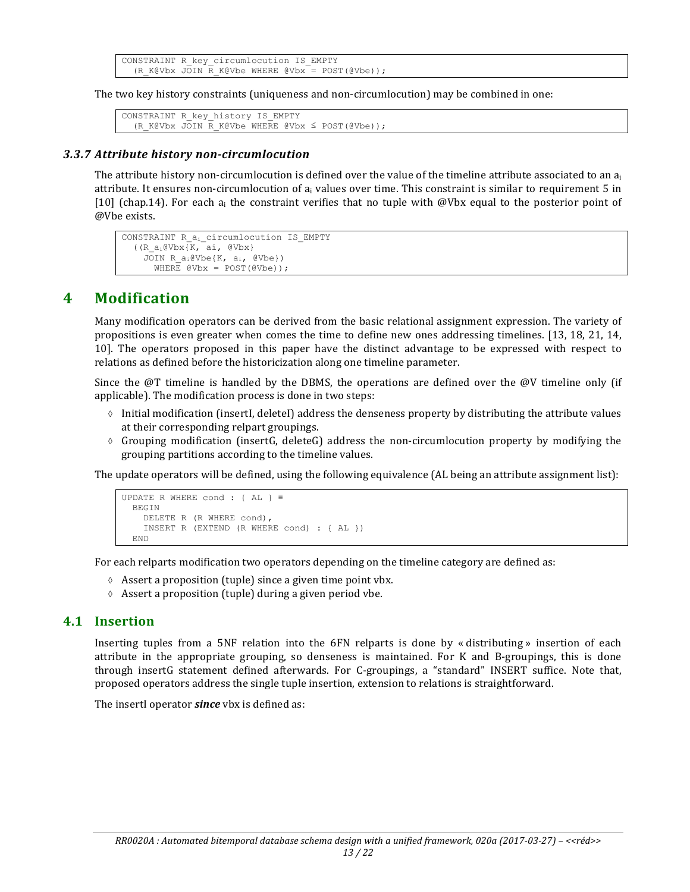```
CONSTRAINT R_key_circumlocution IS_EMPTY 
   (R_K@Vbx JOIN R_K@Vbe WHERE @Vbx = POST(@Vbe));
```
The two key history constraints (uniqueness and non-circumlocution) may be combined in one:

```
CONSTRAINT R_key_history IS_EMPTY 
  (R_K@Vbx JOIN R_K@Vbe WHERE @Vbx \leq POST(@Vbe));
```
#### *3.3.7 Attribute history non-circumlocution*

The attribute history non-circumlocution is defined over the value of the timeline attribute associated to an  $a_i$ attribute. It ensures non-circumlocution of  $a_i$  values over time. This constraint is similar to requirement 5 in [10] (chap.14). For each a<sub>i</sub> the constraint verifies that no tuple with @Vbx equal to the posterior point of @Vbe exists.

```
CONSTRAINT R a<sub>i</sub> circumlocution IS EMPTY
  (K_{\alpha_i}eVbxK, \alpha_i, eVbx)JOIN R a_i@Vbe{K, a_i, @Vbe})
       WHERE QVbx = POST(QVbe);
```
## **4 Modification**

Many modification operators can be derived from the basic relational assignment expression. The variety of propositions is even greater when comes the time to define new ones addressing timelines. [13, 18, 21, 14, 10]. The operators proposed in this paper have the distinct advantage to be expressed with respect to relations as defined before the historicization along one timeline parameter.

Since the  $@T$  timeline is handled by the DBMS, the operations are defined over the  $@V$  timeline only (if applicable). The modification process is done in two steps:

- $\Diamond$  Initial modification (insertI, deleteI) address the denseness property by distributing the attribute values at their corresponding relpart groupings.
- $\diamond$  Grouping modification (insertG, deleteG) address the non-circumlocution property by modifying the grouping partitions according to the timeline values.

The update operators will be defined, using the following equivalence (AL being an attribute assignment list):

```
UPDATE R WHERE cond : { AL } ≣
  BEGIN
     DELETE R (R WHERE cond),
     INSERT R (EXTEND (R WHERE cond) : { AL })
   END
```
For each relparts modification two operators depending on the timeline category are defined as:

- $\Diamond$  Assert a proposition (tuple) since a given time point vbx.
- $\Diamond$  Assert a proposition (tuple) during a given period vbe.

#### **4.1 Insertion**

Inserting tuples from a 5NF relation into the  $6FN$  relparts is done by « distributing » insertion of each attribute in the appropriate grouping, so denseness is maintained. For K and B-groupings, this is done through insertG statement defined afterwards. For C-groupings, a "standard" INSERT suffice. Note that, proposed operators address the single tuple insertion, extension to relations is straightforward.

The insertI operator **since** vbx is defined as: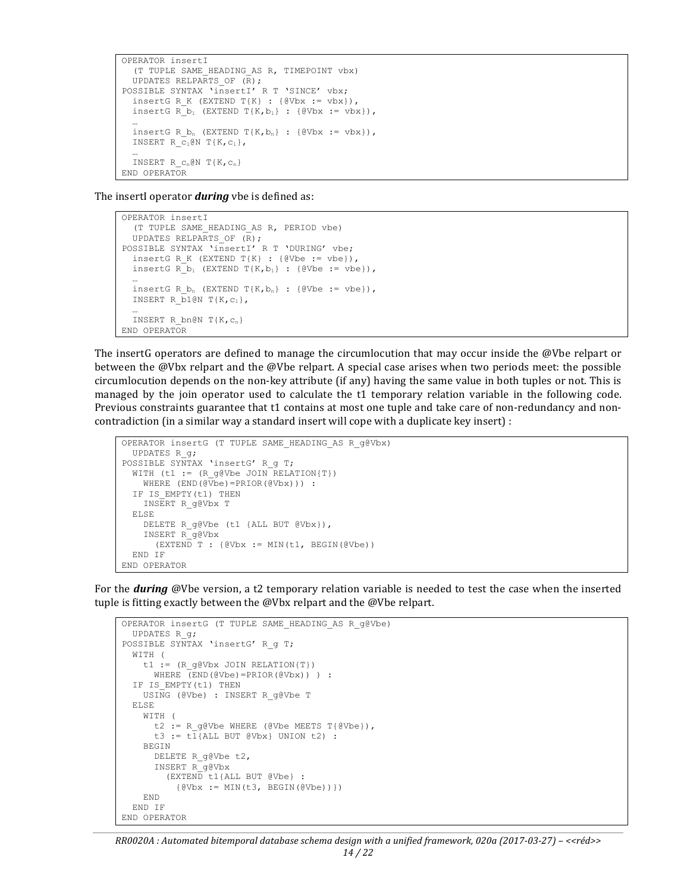```
OPERATOR insertI
   (T TUPLE SAME_HEADING_AS R, TIMEPOINT vbx)
  UPDATES RELPARTS OF (R);
POSSIBLE SYNTAX 'insertI' R T 'SINCE' vbx;
  insertG R K (EXTEND T{K} : {@Vbx := vbx}),
  insertG R b_1 (EXTEND T{K,b_1} : {@Vbx := vbx}),
 …
  insertG R b_n (EXTEND T\{K,b_n\} : {@Vbx := vbx}),
  INSERT R C_1@N T{K,c<sub>1</sub>},
 …
  INSERT R c_n@N T{K,c<sub>n</sub>}
END OPERATOR
```
The insertI operator *during* vbe is defined as:

```
OPERATOR insertI
   (T TUPLE SAME_HEADING_AS R, PERIOD vbe)
   UPDATES RELPARTS_OF (R);
POSSIBLE SYNTAX 'insertI' R T 'DURING' vbe;
 insertG R K (EXTEND T{K} : {@Vbe := vbe}),
 insertG R b_1 (EXTEND T{K, b_1} : {@Vbe := vbe}),
 …
 insertG R b_n (EXTEND T{K,b_n} : {@Vbe := vbe}),
 INSERT R b1@N T{K,c<sub>1</sub>},
 …
 INSERT R bn@N T{K, c_n}
END OPERATOR
```
The insertG operators are defined to manage the circumlocution that may occur inside the @Vbe relpart or between the @Vbx relpart and the @Vbe relpart. A special case arises when two periods meet: the possible circumlocution depends on the non-key attribute  $(if \text{ any})$  having the same value in both tuples or not. This is managed by the join operator used to calculate the t1 temporary relation variable in the following code. Previous constraints guarantee that t1 contains at most one tuple and take care of non-redundancy and noncontradiction (in a similar way a standard insert will cope with a duplicate key insert) :

```
OPERATOR insertG (T TUPLE SAME_HEADING_AS R_g@Vbx)
  UPDATES R_g;
POSSIBLE SYNTAX 'insertG' R g T;
 WITH (t1 := (R \ q \)Whe JOIN RELATION{T})
    WHERE (END(@Vbe)=PRIOR(@Vbx))) :
  IF IS EMPTY(t1) THEN
    INSERT R_g@Vbx T
   ELSE
    DELETE R g@Vbe (t1 {ALL BUT @Vbx}),
     INSERT R_g@Vbx 
      (EXTEM\overline{D} T : {\&Vbx := MIN(t1, BEGIN({\&Vbe}))} END IF
END OPERATOR
```
For the **during** @Vbe version, a t2 temporary relation variable is needed to test the case when the inserted tuple is fitting exactly between the  $\omega$ Vbx relpart and the  $\omega$ Vbe relpart.

```
OPERATOR insertG (T TUPLE SAME_HEADING_AS R_g@Vbe)
  UPDATES R_g;
POSSIBLE SYNTAX 'insertG' R g T;
  WITH (
    t1 := (R g@Vbx JOIN RELATION{T})
     WHERE (END(\text{@Vbe}) = PRIOR(\text{@Vbx})) ) :
  IF IS EMPTY(t1) THEN
     USING (@Vbe) : INSERT R_g@Vbe T
   ELSE
     WITH (
      t2 := R g@Vbe WHERE (@Vbe MEETS T{@Vbe}),
       t3 := t1{ALL BUT @Vbx} UNION t2) :
     BEGIN
       DELETE R_g@Vbe t2,
       INSERT R_g@Vbx 
         (EXTEND t1{ALL BUT @Vbe} : 
          \{ @Vbx := MIN(t3, BEGIN(@Vbe)) \} END
   END IF
END OPERATOR
```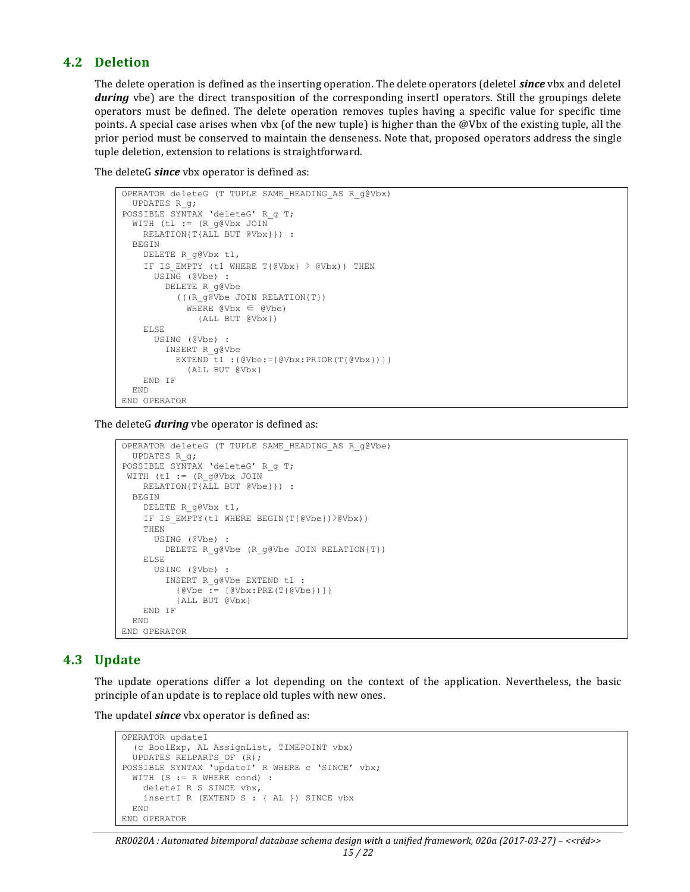#### **4.2 Deletion**

The delete operation is defined as the inserting operation. The delete operators (deleteI *since* vbx and deleteI *during* vbe) are the direct transposition of the corresponding insertI operators. Still the groupings delete operators must be defined. The delete operation removes tuples having a specific value for specific time points. A special case arises when vbx (of the new tuple) is higher than the @Vbx of the existing tuple, all the prior period must be conserved to maintain the denseness. Note that, proposed operators address the single tuple deletion, extension to relations is straightforward.

The deleteG *since* vbx operator is defined as:

```
OPERATOR deleteG (T TUPLE SAME_HEADING_AS R_g@Vbx)
  UPDATES R_g;
POSSIBLE SYNTAX 'deleteG' R g T;
 WITH (t1 := (R \tq@Vbx \tJOIN)) RELATION{T{ALL BUT @Vbx}}) :
   BEGIN
     DELETE R_g@Vbx t1,
    IF IS EMPTY (t1 WHERE T{@Vbx} > @Vbx)) THEN
       USING (@Vbe) :
         DELETE R_g@Vbe 
           (((R_g@Vbe JOIN RELATION{T}) 
            WHERE QVbx \in QVbe {ALL BUT @Vbx})
     ELSE
       USING (@Vbe) :
         INSERT R_g@Vbe 
           EXTEND t1 :{@Vbe:=[@Vbx:PRIOR(T{@Vbx})]} 
             {ALL BUT @Vbx}
     END IF
   END
END OPERATOR
```
The deleteG *during* vbe operator is defined as:

```
OPERATOR deleteG (T TUPLE SAME_HEADING_AS R_g@Vbe)
  UPDATES R_g;
POSSIBLE SYNTAX 'deleteG' R g T;
WITH (t1 := (R g@Vbx JOIN
    RELATION{T{ALL BUT @Vbe}}) :
  BEGIN
    DELETE R_g@Vbx t1,
    IF IS EMPTY(t1 WHERE BEGIN(T{@Vbe})>@Vbx))
     THEN
      USING (@Vbe) :
         DELETE R_g@Vbe (R_g@Vbe JOIN RELATION{T})
    ELSE
       USING (@Vbe) :
        INSERT R_g@Vbe EXTEND t1 : 
           {@Vbe := [@Vbx:PRE(T{@Vbe})]} 
           {ALL BUT @Vbx}
    END IF
  END
END OPERATOR
```
#### **4.3 Update**

The update operations differ a lot depending on the context of the application. Nevertheless, the basic principle of an update is to replace old tuples with new ones.

The updateI *since* vbx operator is defined as:

```
OPERATOR updateI
   (c BoolExp, AL AssignList, TIMEPOINT vbx)
   UPDATES RELPARTS_OF (R);
POSSIBLE SYNTAX 'updateI' R WHERE c 'SINCE' vbx;
  WITH (S := R WHERE cond) :
     deleteI R S SINCE vbx,
     insertI R (EXTEND S : { AL }) SINCE vbx
   END
END OPERATOR
```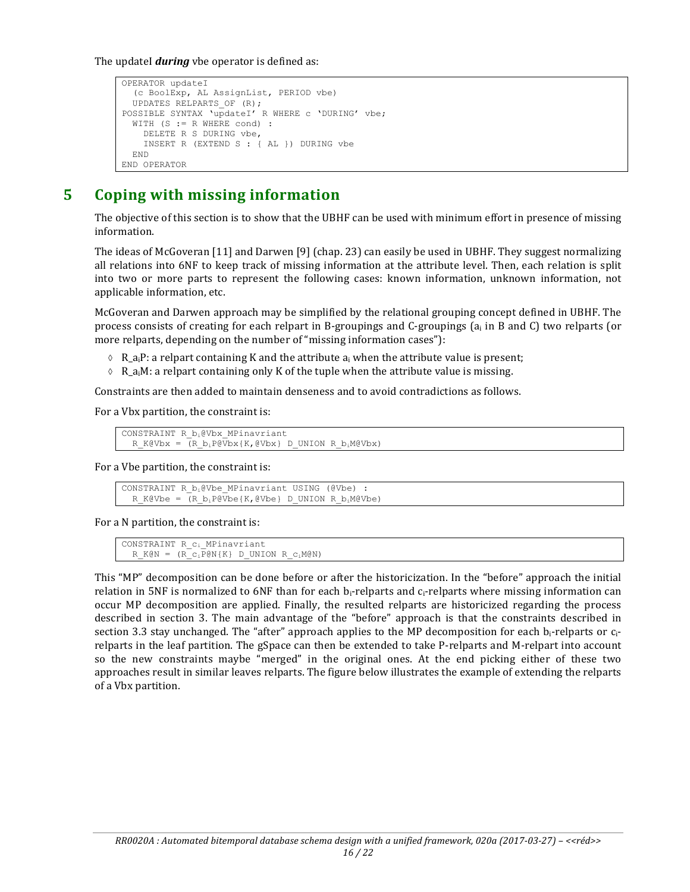The updateI **during** vbe operator is defined as:

```
OPERATOR updateI
   (c BoolExp, AL AssignList, PERIOD vbe)
  UPDATES RELPARTS_OF (R);
POSSIBLE SYNTAX 'updateI' R WHERE c 'DURING' vbe;
  WITH (S := R WHERE cond) :
     DELETE R S DURING vbe,
     INSERT R (EXTEND S : { AL }) DURING vbe
   END
END OPERATOR
```
## **5 Coping with missing information**

The objective of this section is to show that the UBHF can be used with minimum effort in presence of missing information.

The ideas of McGoveran  $[11]$  and Darwen  $[9]$  (chap. 23) can easily be used in UBHF. They suggest normalizing all relations into 6NF to keep track of missing information at the attribute level. Then, each relation is split into two or more parts to represent the following cases: known information, unknown information, not applicable information, etc.

McGoveran and Darwen approach may be simplified by the relational grouping concept defined in UBHF. The process consists of creating for each relpart in B-groupings and C-groupings  $\{a_i \text{ in } B \text{ and } C\}$  two relparts (or more relparts, depending on the number of "missing information cases"):

- $\land$  R<sub>\_ai</sub>P: a relpart containing K and the attribute a<sub>i</sub> when the attribute value is present;
- $\Diamond$  R\_a<sub>i</sub>M: a relpart containing only K of the tuple when the attribute value is missing.

Constraints are then added to maintain denseness and to avoid contradictions as follows.

For a Vbx partition, the constraint is:

```
CONSTRAINT R_bi@Vbx_MPinavriant 
 R_K@Vbx = (R_b_iP@Vbx{K,@Vbx} D UNION R_b_iM@Vbx)
```
For a Vbe partition, the constraint is:

CONSTRAINT R bi@Vbe MPinavriant USING (@Vbe) R\_K@Vbe =  $(R_b_iP@Vbe{K, @Vbe} D UNION R_b_iM@Vbe)$ 

For a N partition, the constraint is:

```
CONSTRAINT R_ci_MPinavriant 
 R K@N = (R_{c}P@N{K} D UNION R c_iM@N
```
This "MP" decomposition can be done before or after the historicization. In the "before" approach the initial relation in 5NF is normalized to 6NF than for each  $b_i$ -relparts and  $c_i$ -relparts where missing information can occur MP decomposition are applied. Finally, the resulted relparts are historicized regarding the process described in section 3. The main advantage of the "before" approach is that the constraints described in section 3.3 stay unchanged. The "after" approach applies to the MP decomposition for each  $b_i$ -relparts or  $c_i$ relparts in the leaf partition. The gSpace can then be extended to take P-relparts and M-relpart into account so the new constraints maybe "merged" in the original ones. At the end picking either of these two approaches result in similar leaves relparts. The figure below illustrates the example of extending the relparts of a Vbx partition.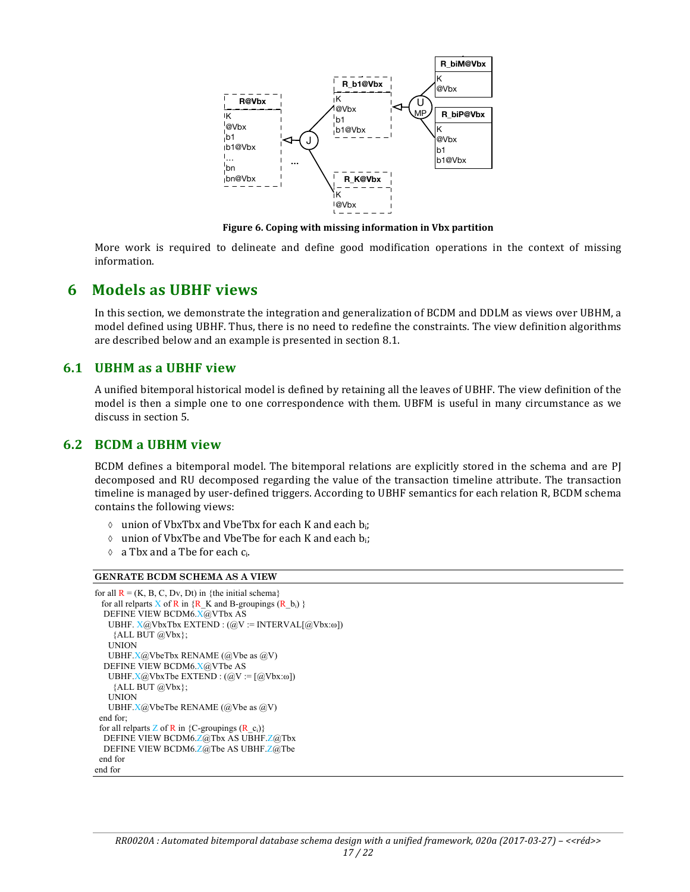

Figure 6. Coping with missing information in Vbx partition

More work is required to delineate and define good modification operations in the context of missing information.

## **6 Models as UBHF views**

In this section, we demonstrate the integration and generalization of BCDM and DDLM as views over UBHM, a model defined using UBHF. Thus, there is no need to redefine the constraints. The view definition algorithms are described below and an example is presented in section 8.1.

### **6.1 UBHM as a UBHF view**

A unified bitemporal historical model is defined by retaining all the leaves of UBHF. The view definition of the model is then a simple one to one correspondence with them. UBFM is useful in many circumstance as we discuss in section 5.

#### **6.2 BCDM a UBHM view**

BCDM defines a bitemporal model. The bitemporal relations are explicitly stored in the schema and are PJ decomposed and RU decomposed regarding the value of the transaction timeline attribute. The transaction timeline is managed by user-defined triggers. According to UBHF semantics for each relation R, BCDM schema contains the following views:

- $\diamond$  union of VbxTbx and VbeTbx for each K and each  $b_i$ ;
- $\Diamond$  union of VbxTbe and VbeTbe for each K and each b<sub>i</sub>;
- $\Diamond$  a Tbx and a Tbe for each  $c_i$ .

#### **GENRATE BCDM SCHEMA AS A VIEW**

```
for all R = (K, B, C, Dv, Dt) in {the initial schema}
 for all relparts X of R in \{R_K \} and B-groupings (R_b) }
   DEFINE VIEW BCDM6.X@VTbx AS
   UBHF. X@VbxTbx EXTEND : (QV) : INTERVAL[@Vbx:\omega] {ALL BUT @Vbx};
    UNION 
    UBHF.X@VbeTbx RENAME (@Vbe as @V)
   DEFINE VIEW BCDM6.X@VTbe AS
    UBHF.X@VbxTbe EXTEND : (@V := [@Vbx:ω]) 
     {ALL BUT @Vbx};
    UNION 
   UBHF.X@VbeTbe RENAME (@Vbe as @V)
  end for;
 for all relparts Z of R in {C-groupings (R_c)}
   DEFINE VIEW BCDM6.Z@Tbx AS UBHF.Z@Tbx 
   DEFINE VIEW BCDM6.Z@Tbe AS UBHF.Z@Tbe 
 end for
end for
```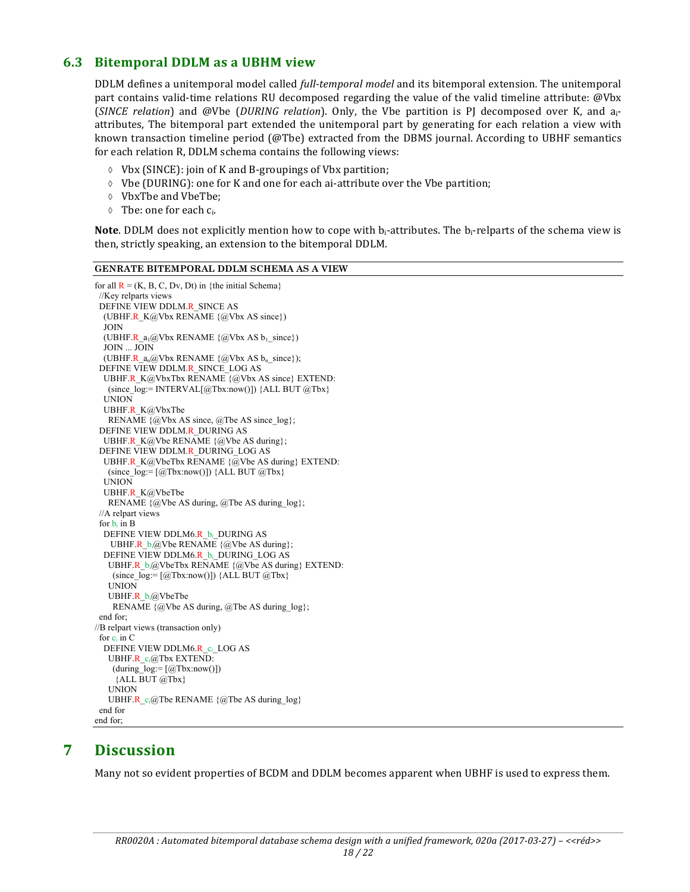## **6.3 Bitemporal DDLM as a UBHM view**

DDLM defines a unitemporal model called *full-temporal model* and its bitemporal extension. The unitemporal part contains valid-time relations RU decomposed regarding the value of the valid timeline attribute: @Vbx (*SINCE relation*) and @Vbe (*DURING relation*). Only, the Vbe partition is PJ decomposed over K, and a<sub>i</sub>attributes, The bitemporal part extended the unitemporal part by generating for each relation a view with known transaction timeline period (@Tbe) extracted from the DBMS journal. According to UBHF semantics for each relation R, DDLM schema contains the following views:

- $\lozenge$  Vbx (SINCE): join of K and B-groupings of Vbx partition;
- $\Diamond$  Vbe (DURING): one for K and one for each ai-attribute over the Vbe partition;
- $\Diamond$  VbxTbe and VbeTbe:
- $\lozenge$  Tbe: one for each  $c_i$ .

**Note**. DDLM does not explicitly mention how to cope with b<sub>i</sub>-attributes. The b<sub>i</sub>-relparts of the schema view is then, strictly speaking, an extension to the bitemporal DDLM.

| <b>GENRATE BITEMPORAL DDLM SCHEMA AS A VIEW</b>                                     |
|-------------------------------------------------------------------------------------|
| for all $R = (K, B, C, Dv, Dt)$ in {the initial Schema}                             |
| //Key relparts views                                                                |
| DEFINE VIEW DDLM.R SINCE AS                                                         |
| (UBHF.R K@Vbx RENAME $\{\omega$ Vbx AS since})                                      |
| <b>JOIN</b>                                                                         |
| (UBHF.R $a_1$ $\omega$ Vbx RENAME { $\omega$ Vbx AS $b_1$ since})                   |
| JOIN  JOIN                                                                          |
| (UBHF.R $a_n@Vbx$ RENAME $\{@Vbx$ AS $b_n$ since});                                 |
| DEFINE VIEW DDLM.R SINCE LOG AS                                                     |
| UBHF.R K@VbxTbx RENAME {@Vbx AS since} EXTEND:                                      |
| (since $log:=$ INTERVAL[@Tbx:now()]) {ALL BUT @Tbx}                                 |
| <b>UNION</b>                                                                        |
| UBHF.R $K@VbxTbe$                                                                   |
| RENAME $\{\omega$ Vbx AS since, $\omega$ Tbe AS since log};                         |
| DEFINE VIEW DDLM.R DURING AS                                                        |
| UBHF.R K@Vbe RENAME $\{\omega$ Vbe AS during};                                      |
| DEFINE VIEW DDLM.R DURING LOG AS                                                    |
| UBHF.R $K@V$ beTbx RENAME $\{@V$ be AS during} EXTEND:                              |
| (since $log=[@Tbx:now()])$ {ALL BUT $@Tbx$ }                                        |
| <b>UNION</b>                                                                        |
| UBHF.R K@VbeTbe                                                                     |
| RENAME $\{\omega$ Vbe AS during, $\omega$ Tbe AS during $\log\}$ ;                  |
| //A relpart views                                                                   |
| for $b_i$ in B                                                                      |
| DEFINE VIEW DDLM6.R b <sub>i</sub> DURING AS                                        |
| UBHF.R $b_i(\partial_x \mathbf{V})$ RENAME $\{\partial_x \mathbf{V}$ be AS during}; |
| DEFINE VIEW DDLM6.R b <sub>i</sub> DURING LOG AS                                    |
| UBHF.R $b_i$ ( $a$ ) VbeTbx RENAME $\{a$ ) Vbe AS during EXTEND:                    |
| (since $log:=[@Tbx:now()])$ {ALL BUT $@Tbx$ }                                       |
| <b>UNION</b>                                                                        |
| UBHF.R $b_i$ (a)VbeTbe                                                              |
| RENAME $\{\omega$ Vbe AS during, $\omega$ Tbe AS during $\log\}$ ;                  |
| end for:                                                                            |
| //B relpart views (transaction only)                                                |
| for $c_i$ in $C$                                                                    |
| DEFINE VIEW DDLM6.R c <sub>i</sub> LOG AS                                           |
| UBHF.R $c_i@Tbx$ EXTEND:                                                            |
| (during $log:=[@Tbx:now()])$                                                        |
| $\{ALL BUT @ Tbx\}$                                                                 |
| <b>UNION</b>                                                                        |
| UBHF.R $c_i(\partial)$ The RENAME $\{\partial$ The AS during log                    |
| end for                                                                             |
| end for:                                                                            |

## **7 Discussion**

Many not so evident properties of BCDM and DDLM becomes apparent when UBHF is used to express them.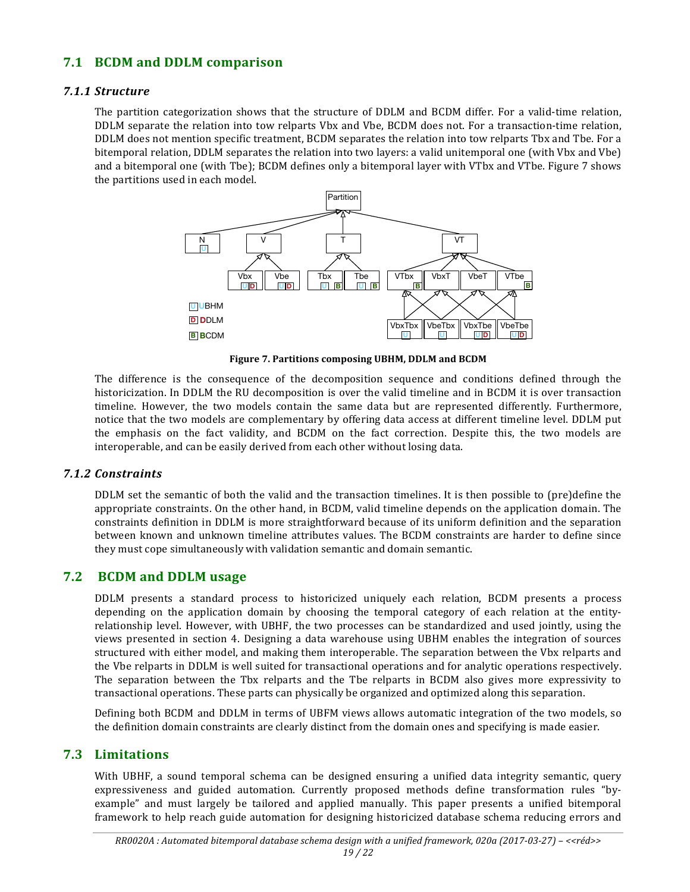## **7.1 BCDM and DDLM comparison**

#### *7.1.1 Structure*

The partition categorization shows that the structure of DDLM and BCDM differ. For a valid-time relation, DDLM separate the relation into tow relparts Vbx and Vbe, BCDM does not. For a transaction-time relation, DDLM does not mention specific treatment, BCDM separates the relation into tow relparts Tbx and Tbe. For a bitemporal relation, DDLM separates the relation into two layers: a valid unitemporal one (with Vbx and Vbe) and a bitemporal one (with Tbe); BCDM defines only a bitemporal layer with VTbx and VTbe. Figure 7 shows the partitions used in each model.



Figure 7. Partitions composing UBHM, DDLM and BCDM

The difference is the consequence of the decomposition sequence and conditions defined through the historicization. In DDLM the RU decomposition is over the valid timeline and in BCDM it is over transaction timeline. However, the two models contain the same data but are represented differently. Furthermore, notice that the two models are complementary by offering data access at different timeline level. DDLM put the emphasis on the fact validity, and BCDM on the fact correction. Despite this, the two models are interoperable, and can be easily derived from each other without losing data.

#### *7.1.2 Constraints*

DDLM set the semantic of both the valid and the transaction timelines. It is then possible to (pre)define the appropriate constraints. On the other hand, in BCDM, valid timeline depends on the application domain. The constraints definition in DDLM is more straightforward because of its uniform definition and the separation between known and unknown timeline attributes values. The BCDM constraints are harder to define since they must cope simultaneously with validation semantic and domain semantic.

## **7.2 BCDM and DDLM usage**

DDLM presents a standard process to historicized uniquely each relation, BCDM presents a process depending on the application domain by choosing the temporal category of each relation at the entityrelationship level. However, with UBHF, the two processes can be standardized and used jointly, using the views presented in section 4. Designing a data warehouse using UBHM enables the integration of sources structured with either model, and making them interoperable. The separation between the Vbx relparts and the Vbe relparts in DDLM is well suited for transactional operations and for analytic operations respectively. The separation between the Tbx relparts and the Tbe relparts in BCDM also gives more expressivity to transactional operations. These parts can physically be organized and optimized along this separation.

Defining both BCDM and DDLM in terms of UBFM views allows automatic integration of the two models, so the definition domain constraints are clearly distinct from the domain ones and specifying is made easier.

## **7.3 Limitations**

With UBHF, a sound temporal schema can be designed ensuring a unified data integrity semantic, query expressiveness and guided automation. Currently proposed methods define transformation rules "byexample" and must largely be tailored and applied manually. This paper presents a unified bitemporal framework to help reach guide automation for designing historicized database schema reducing errors and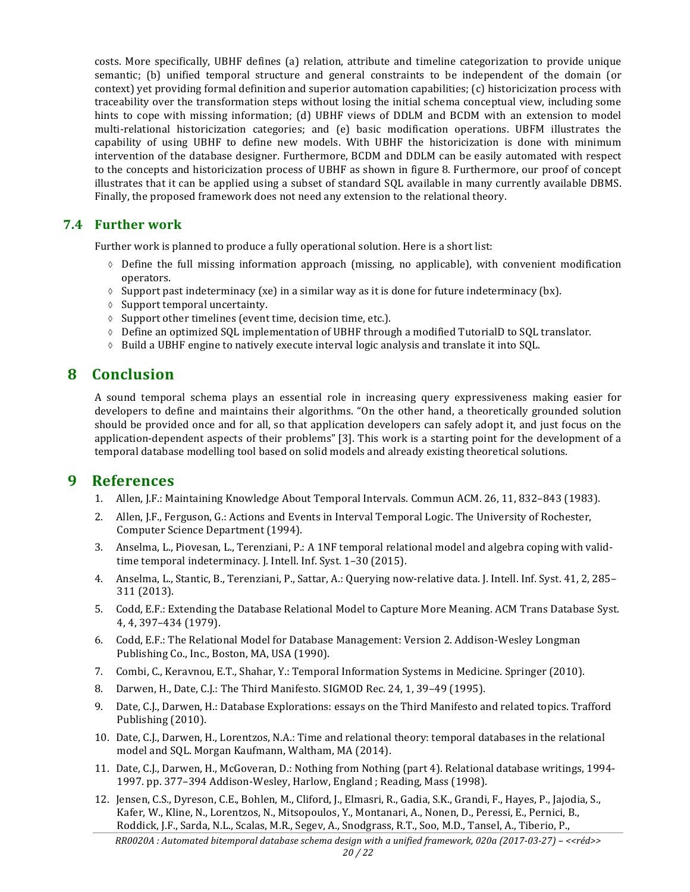costs. More specifically, UBHF defines (a) relation, attribute and timeline categorization to provide unique semantic; (b) unified temporal structure and general constraints to be independent of the domain (or context) yet providing formal definition and superior automation capabilities; (c) historicization process with traceability over the transformation steps without losing the initial schema conceptual view, including some hints to cope with missing information; (d) UBHF views of DDLM and BCDM with an extension to model multi-relational historicization categories; and (e) basic modification operations. UBFM illustrates the capability of using UBHF to define new models. With UBHF the historicization is done with minimum intervention of the database designer. Furthermore, BCDM and DDLM can be easily automated with respect to the concepts and historicization process of UBHF as shown in figure 8. Furthermore, our proof of concept illustrates that it can be applied using a subset of standard SQL available in many currently available DBMS. Finally, the proposed framework does not need any extension to the relational theory.

## **7.4 Further work**

Further work is planned to produce a fully operational solution. Here is a short list:

- $\Diamond$  Define the full missing information approach (missing, no applicable), with convenient modification operators.
- $\Diamond$  Support past indeterminacy (xe) in a similar way as it is done for future indeterminacy (bx).
- $\Diamond$  Support temporal uncertainty.
- $\Diamond$  Support other timelines (event time, decision time, etc.).
- $\lozenge$  Define an optimized SQL implementation of UBHF through a modified TutorialD to SQL translator.
- $\Diamond$  Build a UBHF engine to natively execute interval logic analysis and translate it into SQL.

## **8 Conclusion**

A sound temporal schema plays an essential role in increasing query expressiveness making easier for developers to define and maintains their algorithms. "On the other hand, a theoretically grounded solution should be provided once and for all, so that application developers can safely adopt it, and just focus on the application-dependent aspects of their problems" [3]. This work is a starting point for the development of a temporal database modelling tool based on solid models and already existing theoretical solutions.

## **9 References**

- 1. Allen, J.F.: Maintaining Knowledge About Temporal Intervals. Commun ACM. 26, 11, 832-843 (1983).
- 2. Allen, J.F., Ferguson, G.: Actions and Events in Interval Temporal Logic. The University of Rochester, Computer Science Department (1994).
- 3. Anselma, L., Piovesan, L., Terenziani, P.: A 1NF temporal relational model and algebra coping with validtime temporal indeterminacy. J. Intell. Inf. Syst. 1-30 (2015).
- 4. Anselma, L., Stantic, B., Terenziani, P., Sattar, A.: Querving now-relative data. J. Intell. Inf. Syst. 41, 2, 285– 311 (2013).
- 5. Codd, E.F.: Extending the Database Relational Model to Capture More Meaning. ACM Trans Database Syst. 4, 4, 397–434 (1979).
- 6. Codd, E.F.: The Relational Model for Database Management: Version 2. Addison-Wesley Longman Publishing Co., Inc., Boston, MA, USA (1990).
- 7. Combi, C., Keravnou, E.T., Shahar, Y.: Temporal Information Systems in Medicine. Springer (2010).
- 8. Darwen, H., Date, C.J.: The Third Manifesto. SIGMOD Rec. 24, 1, 39-49 (1995).
- 9. Date, C.J., Darwen, H.: Database Explorations: essays on the Third Manifesto and related topics. Trafford Publishing (2010).
- 10. Date, C.J., Darwen, H., Lorentzos, N.A.: Time and relational theory: temporal databases in the relational model and SQL. Morgan Kaufmann, Waltham, MA (2014).
- 11. Date, C.J., Darwen, H., McGoveran, D.: Nothing from Nothing (part 4). Relational database writings, 1994-1997. pp. 377-394 Addison-Wesley, Harlow, England ; Reading, Mass (1998).
- 12. Jensen, C.S., Dyreson, C.E., Bohlen, M., Cliford, J., Elmasri, R., Gadia, S.K., Grandi, F., Hayes, P., Jajodia, S., Kafer, W., Kline, N., Lorentzos, N., Mitsopoulos, Y., Montanari, A., Nonen, D., Peressi, E., Pernici, B., Roddick, J.F., Sarda, N.L., Scalas, M.R., Segev, A., Snodgrass, R.T., Soo, M.D., Tansel, A., Tiberio, P.,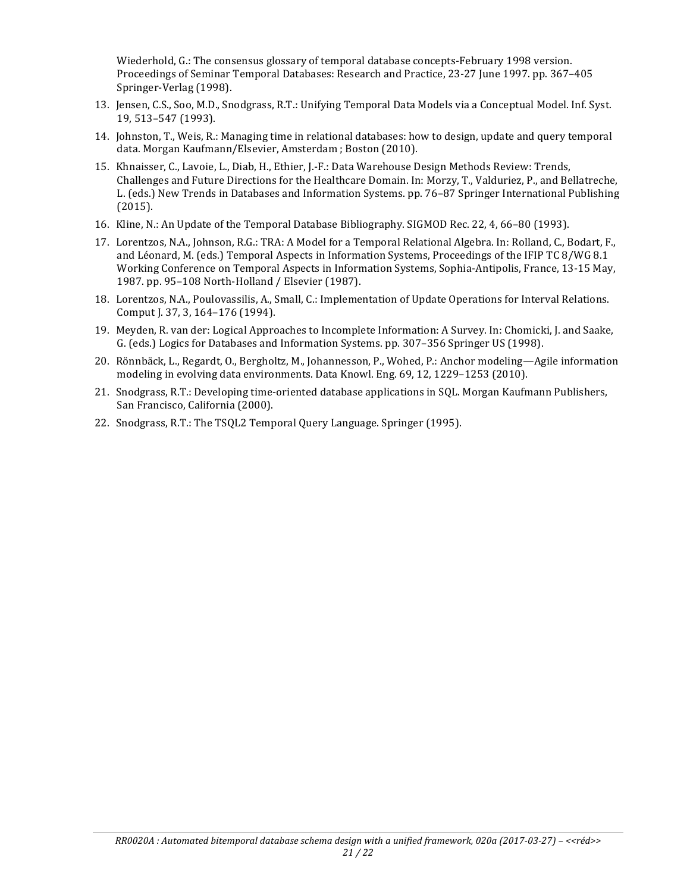Wiederhold, G.: The consensus glossary of temporal database concepts-February 1998 version. Proceedings of Seminar Temporal Databases: Research and Practice, 23-27 June 1997. pp. 367-405 Springer-Verlag (1998).

- 13. Jensen, C.S., Soo, M.D., Snodgrass, R.T.: Unifying Temporal Data Models via a Conceptual Model. Inf. Syst. 19, 513–547 (1993).
- 14. Johnston, T., Weis, R.: Managing time in relational databases: how to design, update and query temporal data. Morgan Kaufmann/Elsevier, Amsterdam ; Boston (2010).
- 15. Khnaisser, C., Lavoie, L., Diab, H., Ethier, J.-F.: Data Warehouse Design Methods Review: Trends, Challenges and Future Directions for the Healthcare Domain. In: Morzy, T., Valduriez, P., and Bellatreche, L. (eds.) New Trends in Databases and Information Systems. pp. 76–87 Springer International Publishing (2015).
- 16. Kline, N.: An Update of the Temporal Database Bibliography. SIGMOD Rec. 22, 4, 66-80 (1993).
- 17. Lorentzos, N.A., Johnson, R.G.: TRA: A Model for a Temporal Relational Algebra. In: Rolland, C., Bodart, F., and Léonard, M. (eds.) Temporal Aspects in Information Systems, Proceedings of the IFIP TC 8/WG 8.1 Working Conference on Temporal Aspects in Information Systems, Sophia-Antipolis, France, 13-15 May, 1987. pp. 95-108 North-Holland / Elsevier (1987).
- 18. Lorentzos, N.A., Poulovassilis, A., Small, C.: Implementation of Update Operations for Interval Relations. Comput J. 37, 3, 164-176 (1994).
- 19. Meyden, R. van der: Logical Approaches to Incomplete Information: A Survey. In: Chomicki, J. and Saake, G. (eds.) Logics for Databases and Information Systems. pp. 307-356 Springer US (1998).
- 20. Rönnbäck, L., Regardt, O., Bergholtz, M., Johannesson, P., Wohed, P.: Anchor modeling—Agile information modeling in evolving data environments. Data Knowl. Eng. 69, 12, 1229–1253 (2010).
- 21. Snodgrass, R.T.: Developing time-oriented database applications in SQL. Morgan Kaufmann Publishers, San Francisco, California (2000).
- 22. Snodgrass, R.T.: The TSQL2 Temporal Query Language. Springer (1995).